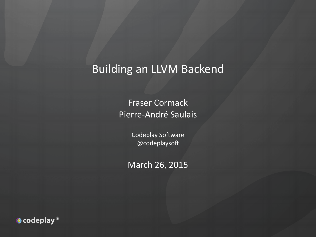#### Building an LLVM Backend

Fraser Cormack Pierre-André Saulais

> Codeplay Software  $@$ codeplaysoft

March 26, 2015

 $\bullet$  codeplay  $^{\circ}$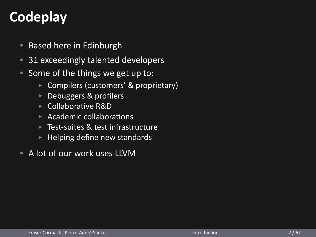## **Codeplay**

- Based here in Edinburgh
- 31 exceedingly talented developers
- Some of the things we get up to:
	- ▶ Compilers (customers' & proprietary)
	- ▶ Debuggers & profilers
	- ▶ Collaborative R&D
	- $\blacktriangleright$  Academic collaborations
	- ▶ Test-suites & test infrastructure
	- $\blacktriangleright$  Helping define new standards
- A lot of our work uses LLVM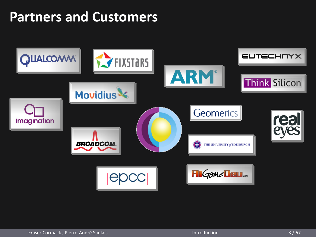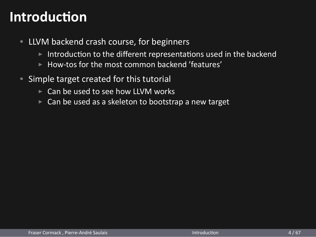#### **Introduction**

- LLVM backend crash course, for beginners
	- $\blacktriangleright$  Introduction to the different representations used in the backend
	- ▶ How-tos for the most common backend 'features'
- Simple target created for this tutorial
	- ▶ Can be used to see how LLVM works
	- ▶ Can be used as a skeleton to bootstrap a new target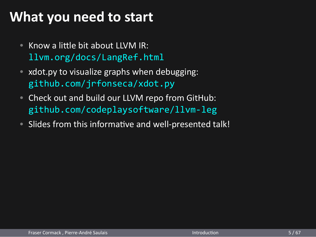## **What you need to start**

- Know a little bit about LLVM IR: llvm.org/docs/LangRef.html
- xdot.py to visualize graphs when debugging: github.com/jrfonseca/xdot.py
- Check out and build our LLVM repo from GitHub: github.com/codeplaysoftware/llvm-leg
- Slides from this informative and well-presented talk!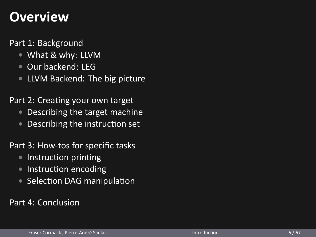#### **Overview**

Part 1: Background

- *•* What & why: LLVM
- *•* Our backend: LEG
- *•* LLVM Backend: The big picture

Part 2: Creating your own target

- *•* Describing the target machine
- Describing the instruction set

Part 3: How-tos for specific tasks

- Instruction printing
- Instruction encoding
- Selection DAG manipulation

Part 4: Conclusion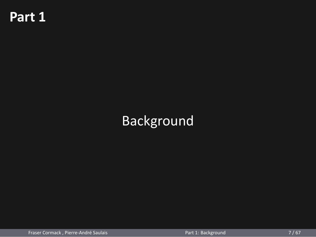## **Part 1**

## Background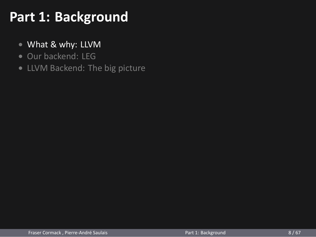## **Part 1: Background**

- *•* What & why: LLVM
- *•* Our backend: LEG
- *•* LLVM Backend: The big picture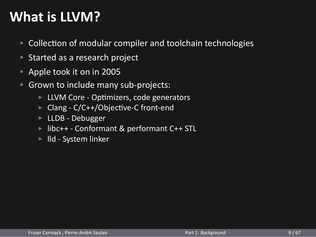#### **What is LLVM?**

- Collection of modular compiler and toolchain technologies
- Started as a research project
- Apple took it on in 2005
- Grown to include many sub-projects:
	- ▶ LLVM Core Optimizers, code generators
	- ▶ Clang C/C++/Objective-C front-end
	- ▶ LLDB Debugger
	- ▶ libc++ Conformant & performant C++ STL
	- ▶ lld System linker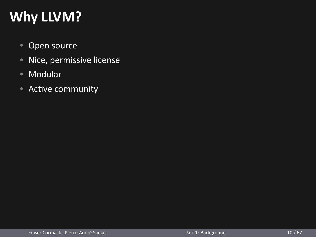## **Why LLVM?**

- Open source
- Nice, permissive license
- Modular
- Active community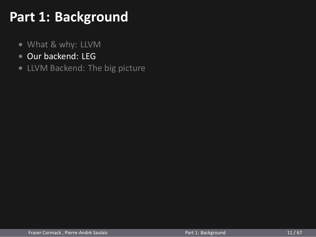## **Part 1: Background**

- *•* What & why: LLVM
- *•* Our backend: LEG
- *•* LLVM Backend: The big picture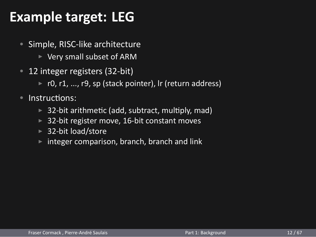## **Example target: LEG**

- Simple, RISC-like architecture
	- ▶ Very small subset of ARM
- 12 integer registers (32-bit)
	- ▶ r0, r1, ..., r9, sp (stack pointer), lr (return address)
- Instructions:
	- ▶ 32-bit arithmetic (add, subtract, multiply, mad)
	- ▶ 32-bit register move, 16-bit constant moves
	- ▶ 32-bit load/store
	- ▶ integer comparison, branch, branch and link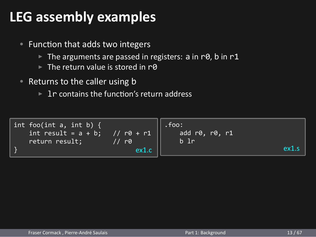## **LEG assembly examples**

- Function that adds two integers
	- ▶ The arguments are passed in registers: a in r0, b in r1
	- ▶ The return value is stored in r0
- Returns to the caller using b
	- ▶ 1r contains the function's return address

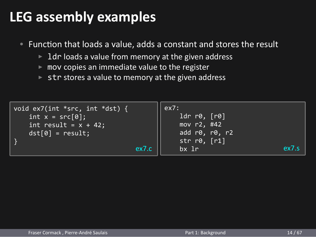## **LEG assembly examples**

- Function that loads a value, adds a constant and stores the result
	- ▶ 1dr loads a value from memory at the given address
	- $\blacktriangleright$  mov copies an immediate value to the register
	- ▶ str stores a value to memory at the given address

| void $ex7(int *src, int *dst)$ {<br>int $x = src[0];$<br>int result = $x + 42$ ;<br>$dst[0] = result;$ | ex7:<br>ldr r0, [r0]<br>mov r2, #42<br>add $r0, r0, r2$<br>str $r\theta$ , $[r1]$<br>ex7.c<br>$bx$ $1r$ | ex7.s |
|--------------------------------------------------------------------------------------------------------|---------------------------------------------------------------------------------------------------------|-------|
|                                                                                                        |                                                                                                         |       |
|                                                                                                        |                                                                                                         |       |
|                                                                                                        | Part 1: Background                                                                                      | 14/67 |
| Fraser Cormack, Pierre-André Saulais                                                                   |                                                                                                         |       |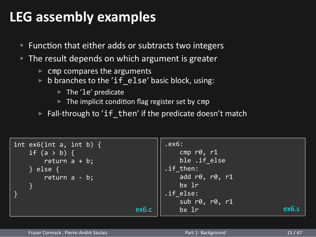### **LEG assembly examples**

- Function that either adds or subtracts two integers
- The result depends on which argument is greater
	- $\triangleright$  cmp compares the arguments
	- ▶ b branches to the 'if\_else' basic block, using:
		- ▶ The 'le' predicate
		- ▶ The implicit condition flag register set by cmp
	- ▶ Fall-through to 'if\_then' if the predicate doesn't match

int ex6(int a, int b) { if  $(a > b)$  { return a + b; } else { return a - b; } ex6.c .ex6: cmp r0, r1 ble .if\_else .if\_then: add r $\overline{0}$ , r $\overline{0}$ , r1 bx lr .if\_else: sub r0, r0, r1  $bx 1r$  ex6.s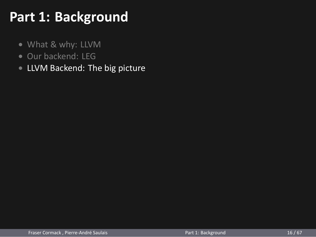## **Part 1: Background**

- *•* What & why: LLVM
- *•* Our backend: LEG
- *•* LLVM Backend: The big picture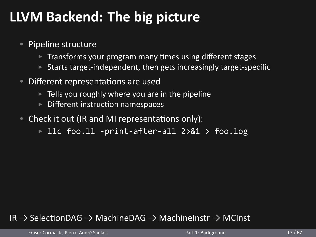#### **LLVM Backend: The big picture**

- Pipeline structure
	- ▶ Transforms your program many times using different stages
	- $\triangleright$  Starts target-independent, then gets increasingly target-specific
- Different representations are used
	- $\triangleright$  Tells you roughly where you are in the pipeline
	- ▶ Different instruction namespaces
- Check it out (IR and MI representations only):
	- ▶ llc foo.ll -print-after-all 2>&1 > foo.log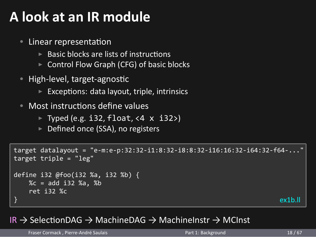#### **A look at an IR module**

#### • Linear representation

- $\blacktriangleright$  Basic blocks are lists of instructions
- ▶ Control Flow Graph (CFG) of basic blocks
- High-level, target-agnostic  $\triangleright$  Exceptions: data layout, triple, intrinsics
- Most instructions define values
	- ▶ Typed (e.g. i32, float, <4 x i32>)
	- ▶ Defined once (SSA), no registers

```
target datalayout = "e-m:e-p:32:32-i1:8:32-i8:8:32-i16:16:32-i64:32-f64-..."
target triple = "leg"
define i32 @foo(i32 %a, i32 %b) {
  %c = add i32 %a, %b
  ret i32 %c
\} ex1b.ll
```

```
Fraser Cormack , Pierre-André Saulais Part 1: Background 18/67
```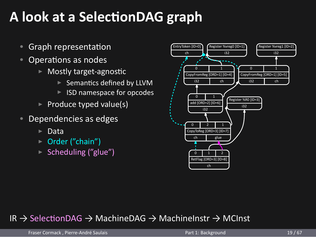## **A look at a SelecƟonDAG graph**

- Graph representation
- Operations as nodes
	- ▶ Mostly target-agnostic
		- ▶ Semantics defined by LLVM
		- ▶ ISD namespace for opcodes
	- $\blacktriangleright$  Produce typed value(s)
- Dependencies as edges
	- ▶ Data
	- ▶ Order ("chain")
	- ▶ Scheduling ("glue")

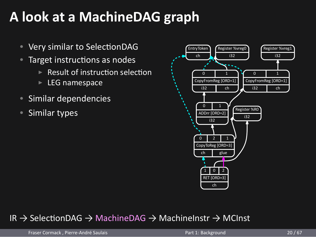#### **A look at a MachineDAG graph** • Very similar to SelectionDAG **EntryToken** Register %vreg0 Register %vreg1 i32 i32 ch • Target instructions as nodes  $\blacktriangleright$  Result of instruction selection 0 1 0 1 ▶ LEG namespace CopyFromReg [ORD=1] CopyFromReg [ORD=1] i32 ch i32 ch • Similar dependencies  $\sqrt{1}$ Register %R0 • Similar types ADDrr [ORD=2]  $\overline{132}$ i32  $\begin{array}{|c|c|c|c|c|}\n\hline\n0 & 2 & 1\n\end{array}$ CopyToReg [ORD=3] ch glue  $\sqrt{ }$  $1$  0  $2$ RET [ORD=3] ch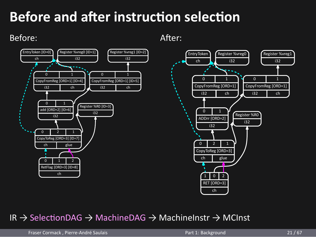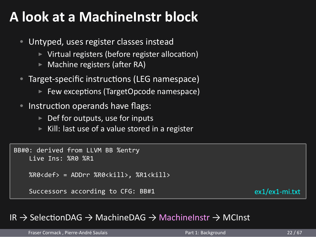### **A look at a MachineInstr block**

- Untyped, uses register classes instead
	- $\triangleright$  Virtual registers (before register allocation)
	- ▶ Machine registers (after RA)
- Target-specific instructions (LEG namespace) ▶ Few exceptions (TargetOpcode namespace)
- Instruction operands have flags:
	- ▶ Def for outputs, use for inputs
		- ▶ Kill: last use of a value stored in a register

```
BB#0: derived from LLVM BB %entry
   Live Ins: %R0 %R1
   %R0<def> = ADDrr %R0<kill>, %R1<kill>
   Successors according to CFG: BB#1 ex1/ex1-mi.txt
```

| Fraser Cormack, Pierre-André Saulais | Part 1: Background | 22/67 |
|--------------------------------------|--------------------|-------|
|                                      |                    |       |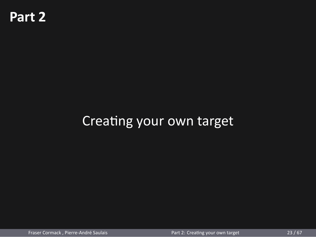## **Part 2**

Creating your own target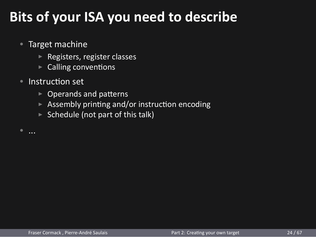## **Bits of your ISA you need to describe**

- Target machine
	- ▶ Registers, register classes
	- $\triangleright$  Calling conventions
- Instruction set
	- $\blacktriangleright$  Operands and patterns
	- ▶ Assembly printing and/or instruction encoding
	- $\triangleright$  Schedule (not part of this talk)
-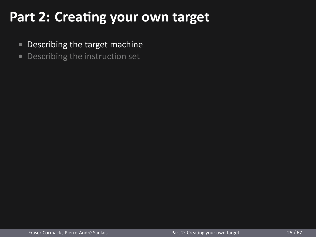## Part 2: Creating your own target

- *•* Describing the target machine
- Describing the instruction set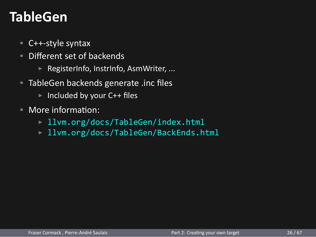#### **TableGen**

- C++-style syntax
- Different set of backends
	- ▶ RegisterInfo, InstrInfo, AsmWriter, ...
- TableGen backends generate .inc files
	- ▶ Included by your C++ files
- More information:
	- ▶ llvm.org/docs/TableGen/index.html
	- ▶ llvm.org/docs/TableGen/BackEnds.html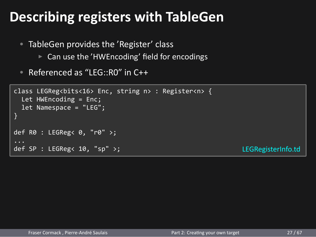## **Describing registers with TableGen**

- TableGen provides the 'Register' class
	- ▶ Can use the 'HWEncoding' field for encodings
- Referenced as "LEG::R0" in C++

```
class LEGReg<bits<16> Enc, string n> : Register<n> {
  Let HWEncoding = Enc;
  let Namespace = "LEG";
def R0 : LEGReg< 0, "r0" >;
def SP : LEGReg< 10, "sp" >; LEGRegisterInfo.td
```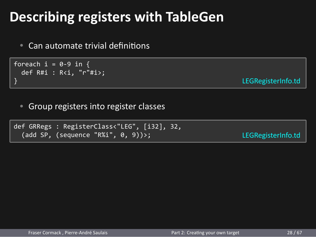| <b>Describing registers with TableGen</b>                                                  |                    |  |  |  |  |  |
|--------------------------------------------------------------------------------------------|--------------------|--|--|--|--|--|
| • Can automate trivial definitions                                                         |                    |  |  |  |  |  |
| foreach $i = 0-9$ in {<br>def $R#i : R < i$ , "r"#i>;<br>}                                 | LEGRegisterInfo.td |  |  |  |  |  |
| Group registers into register classes<br>$\bullet$                                         |                    |  |  |  |  |  |
| def GRRegs : RegisterClass<"LEG", [i32], 32,<br>(add SP, (sequence "R%i", $\theta$ , 9))>; | LEGRegisterInfo.td |  |  |  |  |  |
|                                                                                            |                    |  |  |  |  |  |
|                                                                                            |                    |  |  |  |  |  |
|                                                                                            |                    |  |  |  |  |  |
|                                                                                            |                    |  |  |  |  |  |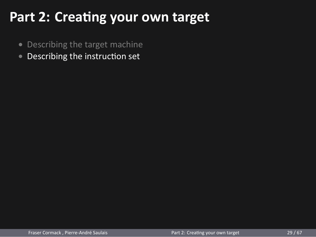## **Part 2: Creating your own target**

- *•* Describing the target machine
- Describing the instruction set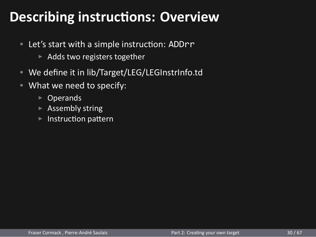## **Describing instructions: Overview**

- Let's start with a simple instruction: ADDrr
	- ▶ Adds two registers together
- We define it in lib/Target/LEG/LEGInstrInfo.td
- What we need to specify:
	- ▶ Operands
	- ▶ Assembly string
	- ▶ Instruction pattern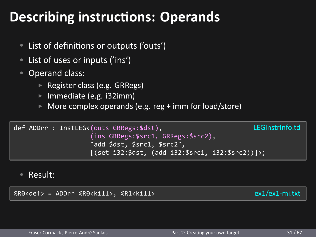#### **Describing instructions: Operands** • List of definitions or outputs ('outs') • List of uses or inputs ('ins') • Operand class: ▶ Register class (e.g. GRRegs) ▶ Immediate (e.g. i32imm) ▶ More complex operands (e.g. reg + imm for load/store) def ADDrr : InstLEG<(outs GRRegs:\$dst), (ins GRRegs:\$src1, GRRegs:\$src2), "add \$dst, \$src1, \$src2", [(set i32:\$dst, (add i32:\$src1, i32:\$src2))]>; LEGInstrInfo.td • Result: %R0<def> = ADDrr %R0<kill>, %R1<kill> ex1/ex1-mi.txt Fraser Cormack , Pierre-André Saulais **Part 2: Creating your own target** 31/67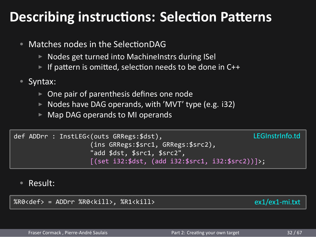# **Describing instructions: Selection Patterns**

| Matches nodes in the SelectionDAG<br>$\bullet$                                      |                   |
|-------------------------------------------------------------------------------------|-------------------|
| $\triangleright$ Nodes get turned into Machinelnstrs during Sel                     |                   |
| ► If pattern is omitted, selection needs to be done in C++                          |                   |
| • Syntax:                                                                           |                   |
| $\triangleright$ One pair of parenthesis defines one node                           |                   |
| $\triangleright$ Nodes have DAG operands, with 'MVT' type (e.g. i32)                |                   |
| ► Map DAG operands to MI operands                                                   |                   |
| def ADDrr : InstLEG<(outs GRRegs:\$dst),                                            | LEGInstrinfo.td   |
| (ins GRRegs:\$src1, GRRegs:\$src2),                                                 |                   |
| "add \$dst, \$src1, \$src2",<br>$[(set i32: $dst, (add i32: $src1, i32: $src2))]$ ; |                   |
|                                                                                     |                   |
| Result:                                                                             |                   |
|                                                                                     |                   |
| %R0 <def> = ADDrr %R0<kill>, %R1<kill></kill></kill></def>                          | $ex1/ex1$ -mi.txt |
|                                                                                     |                   |
|                                                                                     | 32/67             |
|                                                                                     |                   |
| Fraser Cormack, Pierre-André Saulais<br>Part 2: Creating your own target            |                   |
|                                                                                     |                   |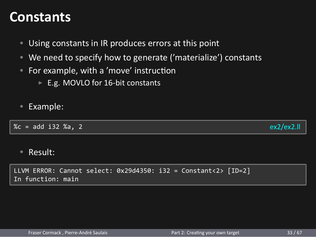#### **Constants**

- Using constants in IR produces errors at this point
- We need to specify how to generate ('materialize') constants
- For example, with a 'move' instruction
	- ▶ E.g. MOVLO for 16-bit constants
- Example:

 $\%c = add i32 \%a, 2$  ex2/ex2.ll

• Result:

LLVM ERROR: Cannot select: 0x29d4350: i32 = Constant<2> [ID=2] In function: main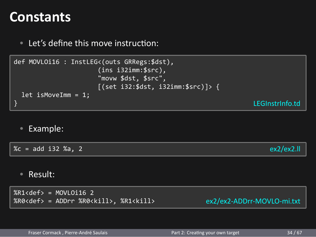#### **Constants**

• Let's define this move instruction: def MOVLOi16 : InstLEG<(outs GRRegs:\$dst), (ins i32imm:\$src), "movw \$dst, \$src", [(set i32:\$dst, i32imm:\$src)]> { let isMoveImm = 1; } LEGInstrInfo.td • Example:  $\%c = add i32 \%a, 2$  ex2/ex2.ll • Result:  $%R1 < def > = MOVLOi16$  2 %R0<def> = ADDrr %R0<kill>, %R1<kill> ex2/ex2-ADDrr-MOVLO-mi.txt Fraser Cormack , Pierre-André Saulais **Part 2: Creating your own target** 34/67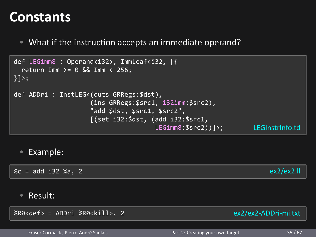#### **Constants**

• What if the instruction accepts an immediate operand?

```
def LEGimm8 : Operand<i32>, ImmLeaf<i32, [{
  return Imm >= 0 && Imm < 256;
}]>;
def ADDri : InstLEG<(outs GRRegs:$dst),
                  (ins GRRegs:$src1, i32imm:$src2),
                  "add $dst, $src1, $src2",
                  [(set i32:$dst, (add i32:$src1,
                               LEGimm8:$src2))]>; LEGInstrInfo.td
 • Example:
\%c = add i32 %a, 2 ex2/ex2.ll
 • Result:
%R0<def> = ADDri %R0<kill>, 2 ex2/ex2-ADDri-mi.txt
   Fraser Cormack , Pierre-André Saulais Part 2: Creating your own target 35 / 67
```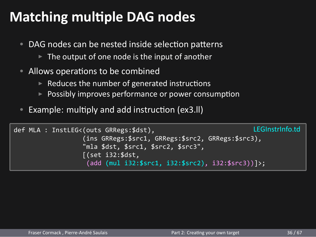## **Matching multiple DAG nodes**

- DAG nodes can be nested inside selection patterns
	- $\blacktriangleright$  The output of one node is the input of another
- Allows operations to be combined
	- $\blacktriangleright$  Reduces the number of generated instructions
	- ▶ Possibly improves performance or power consumption
- Example: multiply and add instruction (ex3.ll)

```
def MLA : InstLEG<(outs GRRegs:$dst),
                   (ins GRRegs:$src1, GRRegs:$src2, GRRegs:$src3),
                   "mla $dst, $src1, $src2, $src3",
                   [(set i32:$dst,
                    (add (mul i32:$src1, i32:$src2), i32:$src3))]>;
                                                                LEGInstrInfo.td
```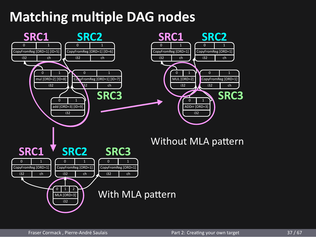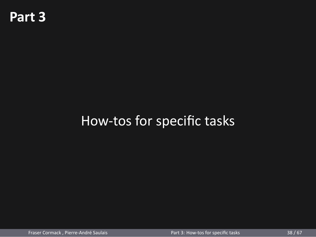## **Part 3**

## How-tos for specific tasks

Fraser Cormack , Pierre-André Saulais **Part 3: How-tos for specific tasks** 38 / 67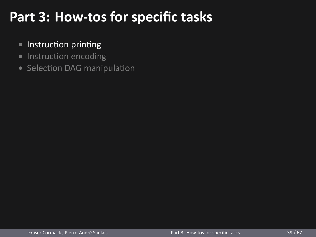## **Part 3: How-tos for specific tasks**

- Instruction printing
- Instruction encoding
- Selection DAG manipulation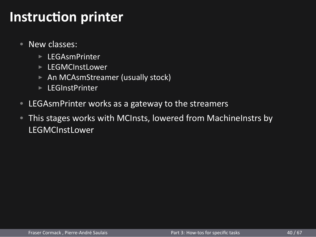- New classes:
	- ▶ LEGAsmPrinter
	- ▶ LEGMCInstLower
	- ▶ An MCAsmStreamer (usually stock)
	- ▶ LEGInstPrinter
- LEGAsmPrinter works as a gateway to the streamers
- This stages works with MCInsts, lowered from MachineInstrs by LEGMCInstLower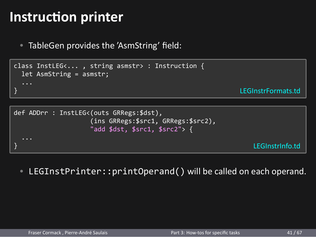• TableGen provides the 'AsmString' field:

```
class InstLEG<... , string asmstr> : Instruction {
 let AsmString = asmstr;
} LEGInstrFormats.td
```

```
def ADDrr : InstLEG<(outs GRRegs:$dst),
              (ins GRRegs:$src1, GRRegs:$src2),
              "add $dst, $src1, $src2"> {
} LEGInstrInfo.td
```
• LEGInstPrinter::printOperand() will be called on each operand.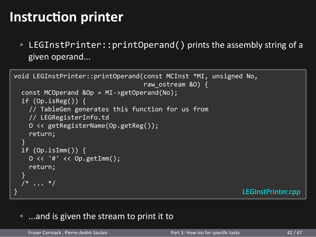• LEGInstPrinter::printOperand() prints the assembly string of a given operand...

```
void LEGInstPrinter::printOperand(const MCInst *MI, unsigned No,
                             raw_ostream &O) {
  const MCOperand &Op = MI->getOperand(No);
  if (Op.isReg()) {
    // TableGen generates this function for us from
    // LEGRegisterInfo.td
   O << getRegisterName(Op.getReg());
   return;
  }
  if (Op.isImm()) {
    O << '#' << Op.getImm();
   return;
  }
  /* ... */
} LEGInstPrinter.cpp
```
• ...and is given the stream to print it to

| Fraser Cormack, Pierre-André Saulais | Part 3: How-tos for specific tasks | 42/67 |
|--------------------------------------|------------------------------------|-------|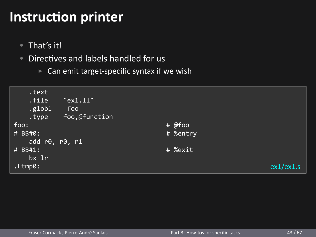- That's it!
- Directives and labels handled for us
	- $\triangleright$  Can emit target-specific syntax if we wish

| .text<br>.file<br>.globl<br>.type | "ex1.11"<br>foo<br>foo,@function |          |           |
|-----------------------------------|----------------------------------|----------|-----------|
| foo:                              |                                  | # @foo   |           |
| # BB#0:                           |                                  | # %entry |           |
| add r0, r0, r1                    |                                  |          |           |
| # BB#1:<br>bx 1r                  |                                  | # %exit  |           |
| .Ltmp0:                           |                                  |          | ex1/ex1.s |
|                                   |                                  |          |           |
|                                   |                                  |          |           |
|                                   |                                  |          |           |
|                                   |                                  |          |           |
|                                   |                                  |          |           |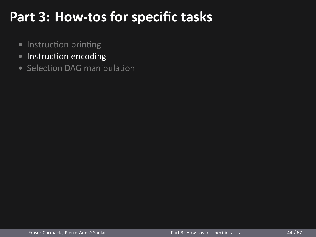## **Part 3: How-tos for specific tasks**

- Instruction printing
- Instruction encoding
- Selection DAG manipulation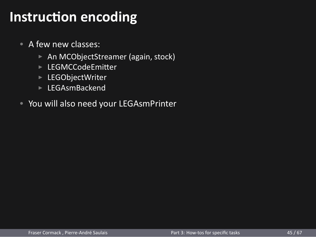- A few new classes:
	- ▶ An MCObjectStreamer (again, stock)
	- ▶ LEGMCCodeEmiƩer
	- ▶ LEGObjectWriter
	- ▶ LEGAsmBackend
- You will also need your LEGAsmPrinter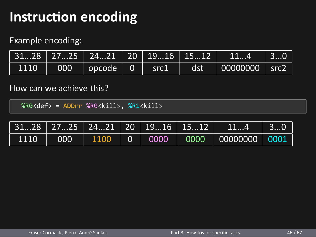#### Example encoding:

|      |     | 3128   2725   2421   20   1916   1512 |                      |     | 114                         | 30 |
|------|-----|---------------------------------------|----------------------|-----|-----------------------------|----|
| 1110 | 000 | $\vert$ opcode $\vert$ 0              | $\sqrt{\text{src1}}$ | dst | $\Box$ 00000000 $\Box$ src2 |    |

#### How can we achieve this?

| $%$ R0 <def> = ADDrr <math>%</math>R0<kill>, <math>%</math>R1<kill></kill></kill></def> |     |      |          |      |                                         |          |      |
|-----------------------------------------------------------------------------------------|-----|------|----------|------|-----------------------------------------|----------|------|
|                                                                                         |     |      |          |      | $3128$   2725   2421   20   1916   1512 | 114      | 30   |
|                                                                                         |     |      |          |      |                                         |          |      |
| 1110                                                                                    | 000 | 1100 | $\Omega$ | 0000 | 0000                                    | 00000000 | 0001 |

n,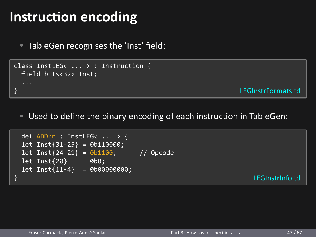• TableGen recognises the 'Inst' field:

```
class InstLEG< ... > : Instruction {
 field bits<32> Inst;
} LEGInstrFormats.td
```
• Used to define the binary encoding of each instruction in TableGen:

```
def ADDrr : InstLEG< ... > {
 let Inst{31-25} = 0b110000;
 let Inst{24-21} = 0b1100; // Opcode
 let Inst{20} = 0b0;
 let Inst{11-4} = 0b00000000;
} LEGInstrInfo.td
```
T.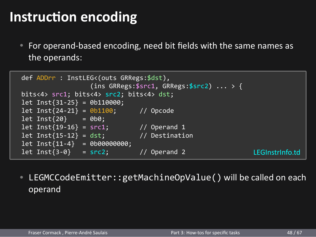• For operand-based encoding, need bit fields with the same names as the operands:

```
def ADDrr : InstLEG<(outs GRRegs:$dst),
                  (ins GRRegs:$src1, GRRegs:$src2) ... > {
bits<4> src1; bits<4> src2; bits<4> dst;
let Inst{31-25} = 0b110000;<br>let Inst{24-21} = 0b1100;
let Inst{24-21} = 0b1100; // Opcode
let Inst{20} = 0b0;
let Inst{19-16} = src1; // Operand 1
let Inst{15-12} = dst; // Destination
let Inst{11-4} = 0b00000000;
let Inst{3-0} = src2; // Operand 2 LEGInstrInfo.td
```
• LEGMCCodeEmitter::getMachineOpValue() will be called on each operand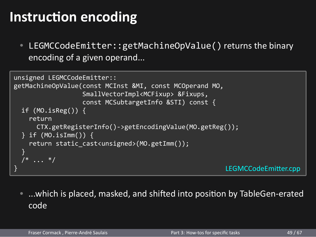• LEGMCCodeEmitter::getMachineOpValue() returns the binary encoding of a given operand...

```
unsigned LEGMCCodeEmitter::
getMachineOpValue(const MCInst &MI, const MCOperand MO,
               SmallVectorImpl<MCFixup> &Fixups,
               const MCSubtargetInfo &STI) const {
 if (MO.isReg()) {
   return
    CTX.getRegisterInfo()->getEncodingValue(MO.getReg());
  } if (MO.isImm()) {
   return static_cast<unsigned>(MO.getImm());
 }
  /* ... */
} LEGMCCodeEmiƩer.cpp
```
• ...which is placed, masked, and shifted into position by TableGen-erated code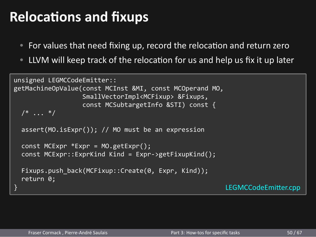#### **Relocations and fixups**

- For values that need fixing up, record the relocation and return zero
- LLVM will keep track of the relocation for us and help us fix it up later

```
unsigned LEGMCCodeEmitter::
getMachineOpValue(const MCInst &MI, const MCOperand MO,
               SmallVectorImpl<MCFixup> &Fixups,
               const MCSubtargetInfo &STI) const {
  /* ... */
 assert(MO.isExpr()); // MO must be an expression
 const MCExpr *Expr = MO.getExpr();
 const MCExpr::ExprKind Kind = Expr->getFixupKind();
 Fixups.push_back(MCFixup::Create(0, Expr, Kind));
 return 0;
} LEGMCCodeEmiƩer.cpp
```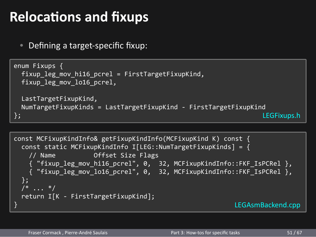## **Relocations and fixups**

• Defining a target-specific fixup:

```
enum Fixups {
 fixup_leg_mov_hi16_pcrel = FirstTargetFixupKind,
  fixup_leg_mov_lo16_pcrel,
 LastTargetFixupKind,
NumTargetFixupKinds = LastTargetFixupKind - FirstTargetFixupKind
                                                           LEGFixups.h
const MCFixupKindInfo& getFixupKindInfo(MCFixupKind K) const {
  const static MCFixupKindInfo I[LEG::NumTargetFixupKinds] = {
    // Name Offset Size Flags
    { "fixup_leg_mov_hi16_pcrel", 0, 32, MCFixupKindInfo::FKF_IsPCRel },
    { "fixup_leg_mov_lo16_pcrel", 0, 32, MCFixupKindInfo::FKF_IsPCRel },
  \};
  /* ... */
  return I[K - FirstTargetFixupKind];
} LEGAsmBackend.cpp
   Fraser Cormack , Pierre-André Saulais Part 3: How-tos for specific tasks 51/67
```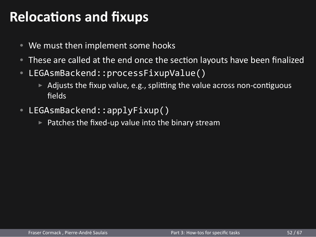## **Relocations and fixups**

- We must then implement some hooks
- These are called at the end once the section layouts have been finalized
- LEGAsmBackend::processFixupValue()
	- $\triangleright$  Adjusts the fixup value, e.g., splitting the value across non-contiguous fields
- LEGAsmBackend::applyFixup()
	- $\blacktriangleright$  Patches the fixed-up value into the binary stream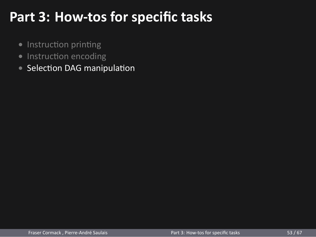## **Part 3: How-tos for specific tasks**

- Instruction printing
- Instruction encoding
- Selection DAG manipulation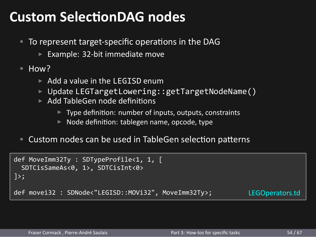#### **Custom SelectionDAG nodes**

- To represent target-specific operations in the DAG
	- ▶ Example: 32-bit immediate move

```
• How?
```
- ▶ Add a value in the LEGISD enum
- ▶ Update LEGTargetLowering::getTargetNodeName()
- ▶ Add TableGen node definitions
	- ▶ Type definition: number of inputs, outputs, constraints
	- ▶ Node definition: tablegen name, opcode, type
- Custom nodes can be used in TableGen selection patterns

```
def MoveImm32Ty : SDTypeProfile<1, 1, [
 SDTCisSameAs<0, 1>, SDTCisInt<0>
]>;
def movei32 : SDNode<"LEGISD::MOVi32", MoveImm32Ty>; LEGOperators.td
```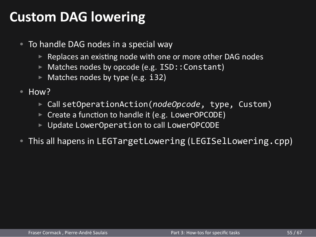### **Custom DAG lowering**

- To handle DAG nodes in a special way
	- ▶ Replaces an existing node with one or more other DAG nodes
	- ▶ Matches nodes by opcode (e.g. ISD:: Constant)
	- ▶ Matches nodes by type (e.g. i32)
- How?
	- ▶ Call setOperationAction(*nodeOpcode*, type, Custom)
	- ▶ Create a function to handle it (e.g. LowerOPCODE)
	- ▶ Update LowerOperation to call LowerOPCODE
- This all hapens in LEGTargetLowering (LEGISelLowering.cpp)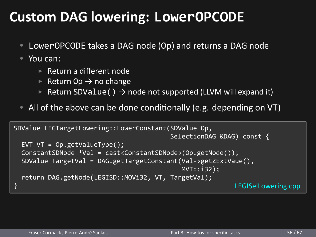### **Custom DAG lowering: LowerOPCODE**

- LowerOPCODE takes a DAG node (Op) and returns a DAG node
- You can:
	- ▶ Return a different node
	- ▶ Return Op  $\rightarrow$  no change
	- ▶ Return SDValue()  $\rightarrow$  node not supported (LLVM will expand it)
- All of the above can be done conditionally (e.g. depending on VT)

```
SDValue LEGTargetLowering::LowerConstant(SDValue Op,
                                   SelectionDAG &DAG) const {
 EVT VT = Op.getValueType();
 ConstantSDNode *Val = cast<ConstantSDNode>(Op.getNode());
 SDValue TargetVal = DAG.getTargetConstant(Val->getZExtVaue(),
                                     MVT::i32;
 return DAG.getNode(LEGISD::MOVi32, VT, TargetVal);
} LEGISelLowering.cpp
```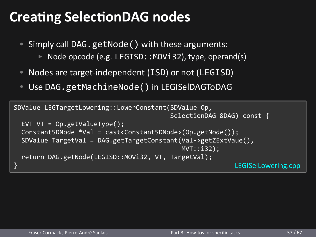### **Creating SelectionDAG nodes**

- Simply call DAG.getNode() with these arguments: ▶ Node opcode (e.g. LEGISD:: MOVi32), type, operand(s)
- Nodes are target-independent (ISD) or not (LEGISD)
- Use DAG.getMachineNode() in LEGISelDAGToDAG

```
SDValue LEGTargetLowering::LowerConstant(SDValue Op,
                                  SelectionDAG &DAG) const {
  EVT VT = Op.getValueType();
  ConstantSDNode *Val = cast<ConstantSDNode>(Op.getNode());
 SDValue TargetVal = DAG.getTargetConstant(Val->getZExtVaue(),
                                     MVT::i32);
 return DAG.getNode(LEGISD::MOVi32, VT, TargetVal);
} LEGISelLowering.cpp
```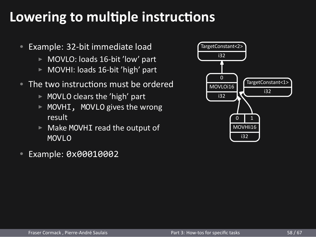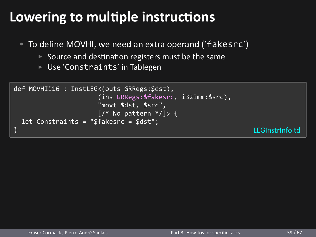- To define MOVHI, we need an extra operand ('fakesrc')
	- ▶ Source and destination registers must be the same
	- ▶ Use 'Constraints' in Tablegen

```
def MOVHI116 : InstLEG<(outs GRRegs:$dst),
                     (ins GRRegs:$fakesrc, i32imm:$src),
                     "movt $dst, $src",
                     \left[\frac{\mu}{\nu} \right] > \left\{ \frac{\mu}{\nu} \right\}let Constraints = "$fakesrc = $dst";
} LEGInstrInfo.td
```
Fraser Cormack , Pierre-André Saulais **Part 3: How-tos for specific tasks** 59 / 67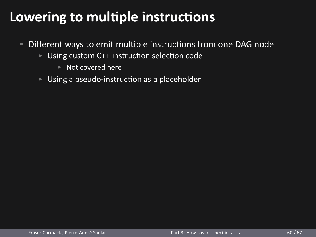- Different ways to emit multiple instructions from one DAG node
	- ▶ Using custom C++ instruction selection code
		- ▶ Not covered here
	- ▶ Using a pseudo-instruction as a placeholder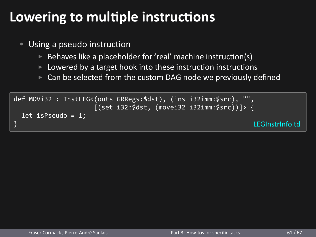- Using a pseudo instruction
	- $\triangleright$  Behaves like a placeholder for 'real' machine instruction(s)
	- $\blacktriangleright$  Lowered by a target hook into these instruction instructions
	- ▶ Can be selected from the custom DAG node we previously defined

def MOVi32 : InstLEG<(outs GRRegs:\$dst), (ins i32imm:\$src), "", [(set i32:\$dst, (movei32 i32imm:\$src))]> { let isPseudo = 1; } LEGInstrInfo.td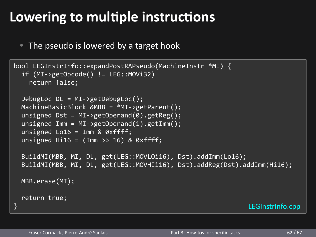• The pseudo is lowered by a target hook

```
bool LEGInstrInfo::expandPostRAPseudo(MachineInstr *MI) {
  if (MI->getOpcode() != LEG::MOVi32)
    return false;
  DebugLoc DL = MI->getDebugLoc();
 MachineBasicBlock &MBB = *MI->getParent();
  unsigned Dst = MI->getOperand(0).getReg();
  unsigned Imm = MI - \geq getOperand(1) \cdot getImm();unsigned Lo16 = Imm & 0xffff;
  unsigned Hi16 = (Imm >> 16) & 0xffff;
  BuildMI(MBB, MI, DL, get(LEG::MOVLOi16), Dst).addImm(Lo16);
  BuildMI(MBB, MI, DL, get(LEG::MOVHIi16), Dst).addReg(Dst).addImm(Hi16);
 MBB.erase(MI);
 return true;
} LEGInstrInfo.cpp
   Fraser Cormack , Pierre-André Saulais Part 3: How-tos for specific tasks 62 / 67
```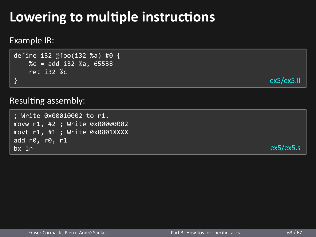## **Lowering to multiple instructions** Example IR: define i32 @foo(i32 %a) #0 { %c = add i32 %a, 65538 ret i32 %c } ex5/ex5.ll Resulting assembly: ; Write 0x00010002 to r1. movw r1, #2 ; Write 0x00000002 movt r1, #1 ; Write 0x0001XXXX add r0, r0, r1 bx lr ex5/ex5.s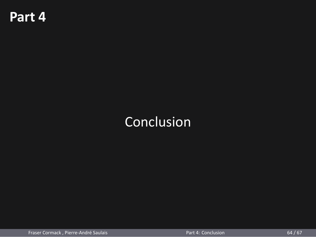## **Part 4**

## Conclusion

Fraser Cormack , Pierre-André Saulais **Part 1** de l'actuelle de la Part 4: Conclusion 64 / 67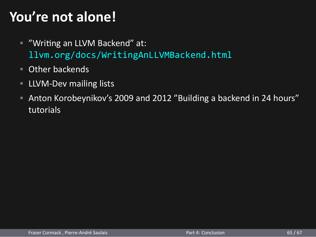## **You're not alone!**

- "Writing an LLVM Backend" at: llvm.org/docs/WritingAnLLVMBackend.html
- Other backends
- LLVM-Dev mailing lists
- Anton Korobeynikov's 2009 and 2012 "Building a backend in 24 hours" tutorials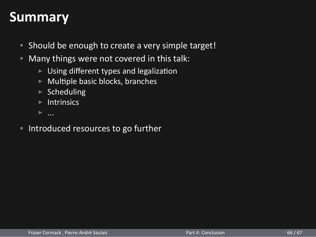#### **Summary**

- Should be enough to create a very simple target!
- Many things were not covered in this talk:
	- ▶ Using different types and legalizaƟon
	- $\blacktriangleright$  Multiple basic blocks, branches
	- $\triangleright$  Scheduling
	- $\blacktriangleright$  Intrinsics
	-
- Introduced resources to go further